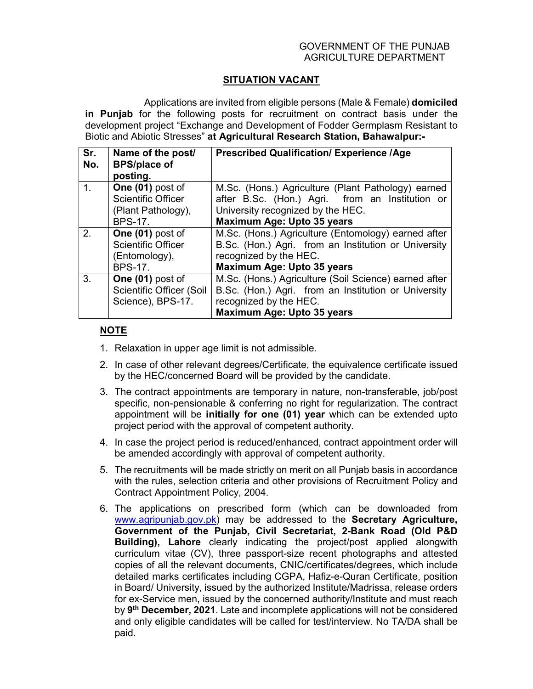## GOVERNMENT OF THE PUNJAB AGRICULTURE DEPARTMENT

## **SITUATION VACANT**

 Applications are invited from eligible persons (Male & Female) **domiciled in Punjab** for the following posts for recruitment on contract basis under the development project "Exchange and Development of Fodder Germplasm Resistant to Biotic and Abiotic Stresses" **at Agricultural Research Station, Bahawalpur:-** 

| Sr.<br>No. | Name of the post/<br><b>BPS/place of</b><br>posting. | <b>Prescribed Qualification/ Experience /Age</b>      |
|------------|------------------------------------------------------|-------------------------------------------------------|
| 1.         | One (01) post of                                     | M.Sc. (Hons.) Agriculture (Plant Pathology) earned    |
|            | <b>Scientific Officer</b>                            | after B.Sc. (Hon.) Agri. from an Institution or       |
|            | (Plant Pathology),                                   | University recognized by the HEC.                     |
|            | <b>BPS-17.</b>                                       | Maximum Age: Upto 35 years                            |
| 2.         | One (01) post of                                     | M.Sc. (Hons.) Agriculture (Entomology) earned after   |
|            | <b>Scientific Officer</b>                            | B.Sc. (Hon.) Agri. from an Institution or University  |
|            | (Entomology),                                        | recognized by the HEC.                                |
|            | <b>BPS-17.</b>                                       | Maximum Age: Upto 35 years                            |
| 3.         | One (01) post of                                     | M.Sc. (Hons.) Agriculture (Soil Science) earned after |
|            | Scientific Officer (Soil                             | B.Sc. (Hon.) Agri. from an Institution or University  |
|            | Science), BPS-17.                                    | recognized by the HEC.                                |
|            |                                                      | Maximum Age: Upto 35 years                            |

## **NOTE**

- 1. Relaxation in upper age limit is not admissible.
- 2. In case of other relevant degrees/Certificate, the equivalence certificate issued by the HEC/concerned Board will be provided by the candidate.
- 3. The contract appointments are temporary in nature, non-transferable, job/post specific, non-pensionable & conferring no right for regularization. The contract appointment will be **initially for one (01) year** which can be extended upto project period with the approval of competent authority.
- 4. In case the project period is reduced/enhanced, contract appointment order will be amended accordingly with approval of competent authority.
- 5. The recruitments will be made strictly on merit on all Punjab basis in accordance with the rules, selection criteria and other provisions of Recruitment Policy and Contract Appointment Policy, 2004.
- 6. The applications on prescribed form (which can be downloaded from www.agripunjab.gov.pk) may be addressed to the **Secretary Agriculture, Government of the Punjab, Civil Secretariat, 2-Bank Road (Old P&D Building), Lahore** clearly indicating the project/post applied alongwith curriculum vitae (CV), three passport-size recent photographs and attested copies of all the relevant documents, CNIC/certificates/degrees, which include detailed marks certificates including CGPA, Hafiz-e-Quran Certificate, position in Board/ University, issued by the authorized Institute/Madrissa, release orders for ex-Service men, issued by the concerned authority/Institute and must reach by **9 th December, 2021**. Late and incomplete applications will not be considered and only eligible candidates will be called for test/interview. No TA/DA shall be paid.